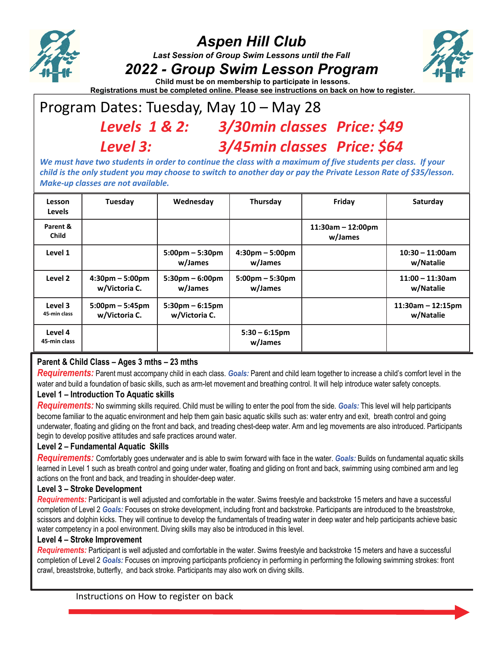

# *Aspen Hill Club*

*Last Session of Group Swim Lessons until the Fall* 

## *2022 - Group Swim Lesson Program*



**Child must be on membership to participate in lessons. Registrations must be completed online. Please see instructions on back on how to register.**

# Program Dates: Tuesday, May 10 – May 28

# *Levels 1 & 2: 3/30min classes Price: \$49 Level 3: 3/45min classes Price: \$64*

We must have two students in order to continue the class with a maximum of five students per class. If your child is the only student you may choose to switch to another day or pay the Private Lesson Rate of \$35/lesson. *Make‐up classes are not available.*

| Lesson<br><b>Levels</b>  | Tuesday                                            | Wednesday                                          | Thursday                                     | Friday                         | Saturday                         |
|--------------------------|----------------------------------------------------|----------------------------------------------------|----------------------------------------------|--------------------------------|----------------------------------|
| Parent &<br><b>Child</b> |                                                    |                                                    |                                              | $11:30am - 12:00pm$<br>w/James |                                  |
| Level 1                  |                                                    | $5:00 \text{pm} - 5:30 \text{pm}$<br>w/James       | $4:30pm - 5:00pm$<br>w/James                 |                                | $10:30 - 11:00$ am<br>w/Natalie  |
| Level 2                  | $4:30 \text{pm} - 5:00 \text{pm}$<br>w/Victoria C. | $5:30 \text{pm} - 6:00 \text{pm}$<br>w/James       | $5:00 \text{pm} - 5:30 \text{pm}$<br>w/James |                                | $11:00 - 11:30$ am<br>w/Natalie  |
| Level 3<br>45-min class  | $5:00 \text{pm} - 5:45 \text{pm}$<br>w/Victoria C. | $5:30 \text{pm} - 6:15 \text{pm}$<br>w/Victoria C. |                                              |                                | $11:30am - 12:15pm$<br>w/Natalie |
| Level 4<br>45 min class  |                                                    |                                                    | $5:30 - 6:15$ pm<br>w/James                  |                                |                                  |

## **Parent & Child Class – Ages 3 mths – 23 mths**

*Requirements:* Parent must accompany child in each class. *Goals:* Parent and child learn together to increase a child's comfort level in the water and build a foundation of basic skills, such as arm-let movement and breathing control. It will help introduce water safety concepts.

#### **Level 1 – Introduction To Aquatic skills**

*Requirements:* No swimming skills required. Child must be willing to enter the pool from the side. *Goals:* This level will help participants become familiar to the aquatic environment and help them gain basic aquatic skills such as: water entry and exit, breath control and going underwater, floating and gliding on the front and back, and treading chest-deep water. Arm and leg movements are also introduced. Participants begin to develop positive attitudes and safe practices around water.

#### **Level 2 – Fundamental Aquatic Skills**

*Requirements:* Comfortably goes underwater and is able to swim forward with face in the water. *Goals:* Builds on fundamental aquatic skills learned in Level 1 such as breath control and going under water, floating and gliding on front and back, swimming using combined arm and leg actions on the front and back, and treading in shoulder-deep water.

#### **Level 3 – Stroke Development**

*Requirements:* Participant is well adjusted and comfortable in the water. Swims freestyle and backstroke 15 meters and have a successful completion of Level 2 *Goals:* Focuses on stroke development, including front and backstroke. Participants are introduced to the breaststroke, scissors and dolphin kicks. They will continue to develop the fundamentals of treading water in deep water and help participants achieve basic water competency in a pool environment. Diving skills may also be introduced in this level.

#### **Level 4 – Stroke Improvement**

*Requirements:* Participant is well adjusted and comfortable in the water. Swims freestyle and backstroke 15 meters and have a successful completion of Level 2 *Goals:* Focuses on improving participants proficiency in performing in performing the following swimming strokes: front crawl, breaststroke, butterfly, and back stroke. Participants may also work on diving skills.